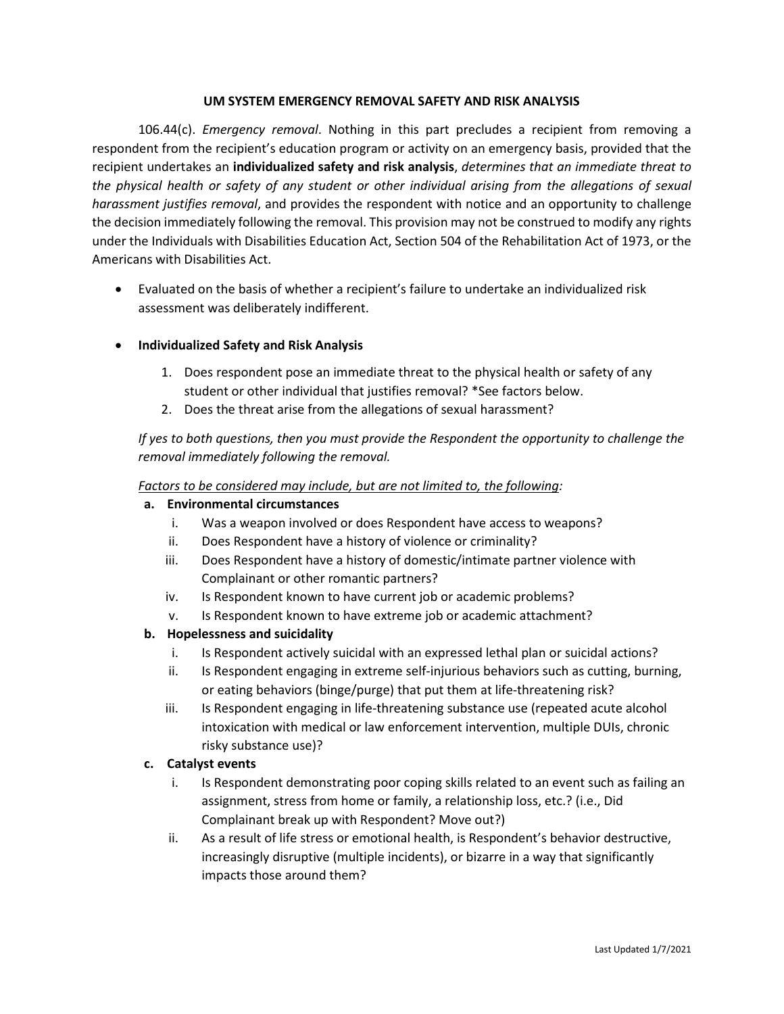#### **UM SYSTEM EMERGENCY REMOVAL SAFETY AND RISK ANALYSIS**

106.44(c). *Emergency removal*. Nothing in this part precludes a recipient from removing a respondent from the recipient's education program or activity on an emergency basis, provided that the recipient undertakes an **individualized safety and risk analysis**, *determines that an immediate threat to the physical health or safety of any student or other individual arising from the allegations of sexual harassment justifies removal*, and provides the respondent with notice and an opportunity to challenge the decision immediately following the removal. This provision may not be construed to modify any rights under the Individuals with Disabilities Education Act, Section 504 of the Rehabilitation Act of 1973, or the Americans with Disabilities Act.

• Evaluated on the basis of whether a recipient's failure to undertake an individualized risk assessment was deliberately indifferent.

# • **Individualized Safety and Risk Analysis**

- 1. Does respondent pose an immediate threat to the physical health or safety of any student or other individual that justifies removal? \*See factors below.
- 2. Does the threat arise from the allegations of sexual harassment?

*If yes to both questions, then you must provide the Respondent the opportunity to challenge the removal immediately following the removal.* 

### *Factors to be considered may include, but are not limited to, the following:*

#### **a. Environmental circumstances**

- i. Was a weapon involved or does Respondent have access to weapons?
- ii. Does Respondent have a history of violence or criminality?
- iii. Does Respondent have a history of domestic/intimate partner violence with Complainant or other romantic partners?
- iv. Is Respondent known to have current job or academic problems?
- v. Is Respondent known to have extreme job or academic attachment?

### **b. Hopelessness and suicidality**

- i. Is Respondent actively suicidal with an expressed lethal plan or suicidal actions?
- ii. Is Respondent engaging in extreme self-injurious behaviors such as cutting, burning, or eating behaviors (binge/purge) that put them at life-threatening risk?
- iii. Is Respondent engaging in life-threatening substance use (repeated acute alcohol intoxication with medical or law enforcement intervention, multiple DUIs, chronic risky substance use)?

### **c. Catalyst events**

- i. Is Respondent demonstrating poor coping skills related to an event such as failing an assignment, stress from home or family, a relationship loss, etc.? (i.e., Did Complainant break up with Respondent? Move out?)
- ii. As a result of life stress or emotional health, is Respondent's behavior destructive, increasingly disruptive (multiple incidents), or bizarre in a way that significantly impacts those around them?